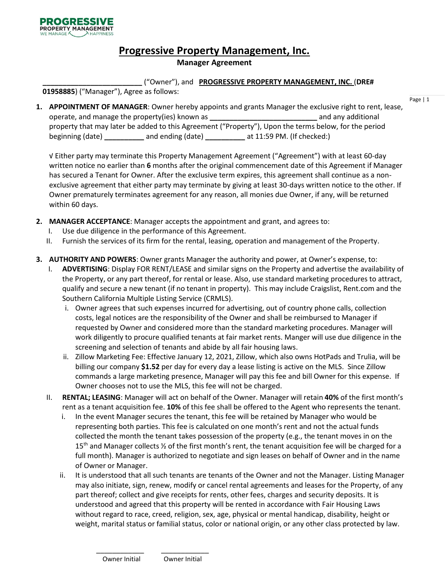# **Progressive Property Management, Inc.**

## **Manager Agreement**

**\_\_\_\_\_\_\_\_\_\_\_\_\_\_\_\_\_\_\_\_\_\_\_\_\_** ("Owner"), and **PROGRESSIVE PROPERTY MANAGEMENT, INC.** (**DRE#** 

**01958885**) ("Manager"), Agree as follows:

**1. APPOINTMENT OF MANAGER**: Owner hereby appoints and grants Manager the exclusive right to rent, lease, operate, and manage the property(ies) known as **\_\_\_\_\_\_\_\_\_\_\_\_\_\_\_\_\_\_\_\_\_\_\_\_\_\_\_** and any additional property that may later be added to this Agreement ("Property"), Upon the terms below, for the period beginning (date) **\_\_\_\_\_\_\_\_\_\_** and ending (date) **\_\_\_\_\_\_\_\_\_\_** at 11:59 PM. (If checked:)

√ Either party may terminate this Property Management Agreement ("Agreement") with at least 60-day written notice no earlier than **6** months after the original commencement date of this Agreement if Manager has secured a Tenant for Owner. After the exclusive term expires, this agreement shall continue as a nonexclusive agreement that either party may terminate by giving at least 30-days written notice to the other. If Owner prematurely terminates agreement for any reason, all monies due Owner, if any, will be returned within 60 days.

- **2. MANAGER ACCEPTANCE**: Manager accepts the appointment and grant, and agrees to:
	- I. Use due diligence in the performance of this Agreement.
	- II. Furnish the services of its firm for the rental, leasing, operation and management of the Property.
- **3. AUTHORITY AND POWERS**: Owner grants Manager the authority and power, at Owner's expense, to:
	- I. **ADVERTISING**: Display FOR RENT/LEASE and similar signs on the Property and advertise the availability of the Property, or any part thereof, for rental or lease. Also, use standard marketing procedures to attract, qualify and secure a new tenant (if no tenant in property). This may include Craigslist, Rent.com and the Southern California Multiple Listing Service (CRMLS).
		- i. Owner agrees that such expenses incurred for advertising, out of country phone calls, collection costs, legal notices are the responsibility of the Owner and shall be reimbursed to Manager if requested by Owner and considered more than the standard marketing procedures. Manager will work diligently to procure qualified tenants at fair market rents. Manger will use due diligence in the screening and selection of tenants and abide by all fair housing laws.
		- ii. Zillow Marketing Fee: Effective January 12, 2021, Zillow, which also owns HotPads and Trulia, will be billing our company **\$1.52** per day for every day a lease listing is active on the MLS. Since Zillow commands a large marketing presence, Manager will pay this fee and bill Owner for this expense. If Owner chooses not to use the MLS, this fee will not be charged.
	- II. **RENTAL; LEASING**: Manager will act on behalf of the Owner. Manager will retain **40%** of the first month's rent as a tenant acquisition fee. **10%** of this fee shall be offered to the Agent who represents the tenant.
		- i. In the event Manager secures the tenant, this fee will be retained by Manager who would be representing both parties. This fee is calculated on one month's rent and not the actual funds collected the month the tenant takes possession of the property (e.g., the tenant moves in on the 15<sup>th</sup> and Manager collects  $\frac{1}{2}$  of the first month's rent, the tenant acquisition fee will be charged for a full month). Manager is authorized to negotiate and sign leases on behalf of Owner and in the name of Owner or Manager.
		- ii. It is understood that all such tenants are tenants of the Owner and not the Manager. Listing Manager may also initiate, sign, renew, modify or cancel rental agreements and leases for the Property, of any part thereof; collect and give receipts for rents, other fees, charges and security deposits. It is understood and agreed that this property will be rented in accordance with Fair Housing Laws without regard to race, creed, religion, sex, age, physical or mental handicap, disability, height or weight, marital status or familial status, color or national origin, or any other class protected by law.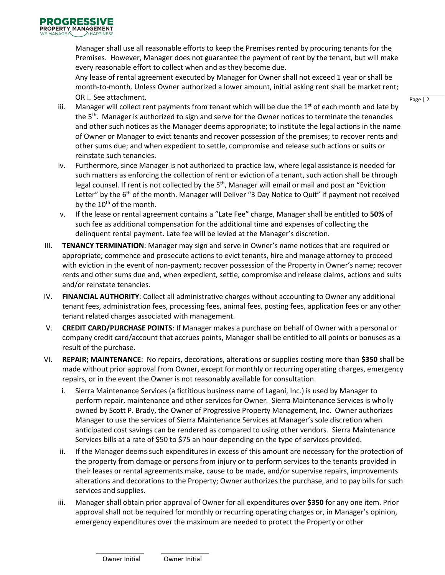Manager shall use all reasonable efforts to keep the Premises rented by procuring tenants for the Premises. However, Manager does not guarantee the payment of rent by the tenant, but will make every reasonable effort to collect when and as they become due.

Any lease of rental agreement executed by Manager for Owner shall not exceed 1 year or shall be month-to-month. Unless Owner authorized a lower amount, initial asking rent shall be market rent; OR  $\square$  See attachment.

- iii. Manager will collect rent payments from tenant which will be due the  $1<sup>st</sup>$  of each month and late by the 5<sup>th</sup>. Manager is authorized to sign and serve for the Owner notices to terminate the tenancies and other such notices as the Manager deems appropriate; to institute the legal actions in the name of Owner or Manager to evict tenants and recover possession of the premises; to recover rents and other sums due; and when expedient to settle, compromise and release such actions or suits or reinstate such tenancies.
- iv. Furthermore, since Manager is not authorized to practice law, where legal assistance is needed for such matters as enforcing the collection of rent or eviction of a tenant, such action shall be through legal counsel. If rent is not collected by the 5<sup>th</sup>, Manager will email or mail and post an "Eviction Letter" by the  $6<sup>th</sup>$  of the month. Manager will Deliver "3 Day Notice to Quit" if payment not received by the 10<sup>th</sup> of the month.
- v. If the lease or rental agreement contains a "Late Fee" charge, Manager shall be entitled to **50%** of such fee as additional compensation for the additional time and expenses of collecting the delinquent rental payment. Late fee will be levied at the Manager's discretion.
- III. **TENANCY TERMINATION**: Manager may sign and serve in Owner's name notices that are required or appropriate; commence and prosecute actions to evict tenants, hire and manage attorney to proceed with eviction in the event of non-payment; recover possession of the Property in Owner's name; recover rents and other sums due and, when expedient, settle, compromise and release claims, actions and suits and/or reinstate tenancies.
- IV. **FINANCIAL AUTHORITY**: Collect all administrative charges without accounting to Owner any additional tenant fees, administration fees, processing fees, animal fees, posting fees, application fees or any other tenant related charges associated with management.
- V. **CREDIT CARD/PURCHASE POINTS**: If Manager makes a purchase on behalf of Owner with a personal or company credit card/account that accrues points, Manager shall be entitled to all points or bonuses as a result of the purchase.
- VI. **REPAIR; MAINTENANCE**: No repairs, decorations, alterations or supplies costing more than **\$350** shall be made without prior approval from Owner, except for monthly or recurring operating charges, emergency repairs, or in the event the Owner is not reasonably available for consultation.
	- i. Sierra Maintenance Services (a fictitious business name of Lagani, Inc.) is used by Manager to perform repair, maintenance and other services for Owner. Sierra Maintenance Services is wholly owned by Scott P. Brady, the Owner of Progressive Property Management, Inc. Owner authorizes Manager to use the services of Sierra Maintenance Services at Manager's sole discretion when anticipated cost savings can be rendered as compared to using other vendors. Sierra Maintenance Services bills at a rate of \$50 to \$75 an hour depending on the type of services provided.
	- ii. If the Manager deems such expenditures in excess of this amount are necessary for the protection of the property from damage or persons from injury or to perform services to the tenants provided in their leases or rental agreements make, cause to be made, and/or supervise repairs, improvements alterations and decorations to the Property; Owner authorizes the purchase, and to pay bills for such services and supplies.
	- iii. Manager shall obtain prior approval of Owner for all expenditures over **\$350** for any one item. Prior approval shall not be required for monthly or recurring operating charges or, in Manager's opinion, emergency expenditures over the maximum are needed to protect the Property or other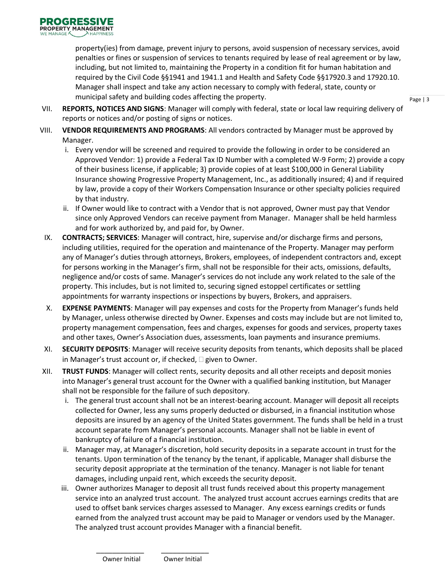property(ies) from damage, prevent injury to persons, avoid suspension of necessary services, avoid penalties or fines or suspension of services to tenants required by lease of real agreement or by law, including, but not limited to, maintaining the Property in a condition fit for human habitation and required by the Civil Code §§1941 and 1941.1 and Health and Safety Code §§17920.3 and 17920.10. Manager shall inspect and take any action necessary to comply with federal, state, county or municipal safety and building codes affecting the property.

- VII. **REPORTS, NOTICES AND SIGNS**: Manager will comply with federal, state or local law requiring delivery of reports or notices and/or posting of signs or notices.
- VIII. **VENDOR REQUIREMENTS AND PROGRAMS**: All vendors contracted by Manager must be approved by Manager.
	- i. Every vendor will be screened and required to provide the following in order to be considered an Approved Vendor: 1) provide a Federal Tax ID Number with a completed W-9 Form; 2) provide a copy of their business license, if applicable; 3) provide copies of at least \$100,000 in General Liability Insurance showing Progressive Property Management, Inc., as additionally insured; 4) and if required by law, provide a copy of their Workers Compensation Insurance or other specialty policies required by that industry.
	- ii. If Owner would like to contract with a Vendor that is not approved, Owner must pay that Vendor since only Approved Vendors can receive payment from Manager. Manager shall be held harmless and for work authorized by, and paid for, by Owner.
- IX. **CONTRACTS; SERVICES**: Manager will contract, hire, supervise and/or discharge firms and persons, including utilities, required for the operation and maintenance of the Property. Manager may perform any of Manager's duties through attorneys, Brokers, employees, of independent contractors and, except for persons working in the Manager's firm, shall not be responsible for their acts, omissions, defaults, negligence and/or costs of same. Manager's services do not include any work related to the sale of the property. This includes, but is not limited to, securing signed estoppel certificates or settling appointments for warranty inspections or inspections by buyers, Brokers, and appraisers.
- X. **EXPENSE PAYMENTS**: Manager will pay expenses and costs for the Property from Manager's funds held by Manager, unless otherwise directed by Owner. Expenses and costs may include but are not limited to, property management compensation, fees and charges, expenses for goods and services, property taxes and other taxes, Owner's Association dues, assessments, loan payments and insurance premiums.
- XI. **SECURITY DEPOSITS**: Manager will receive security deposits from tenants, which deposits shall be placed in Manager's trust account or, if checked,  $\Box$  given to Owner.
- XII. **TRUST FUNDS**: Manager will collect rents, security deposits and all other receipts and deposit monies into Manager's general trust account for the Owner with a qualified banking institution, but Manager shall not be responsible for the failure of such depository.
	- i. The general trust account shall not be an interest-bearing account. Manager will deposit all receipts collected for Owner, less any sums properly deducted or disbursed, in a financial institution whose deposits are insured by an agency of the United States government. The funds shall be held in a trust account separate from Manager's personal accounts. Manager shall not be liable in event of bankruptcy of failure of a financial institution.
	- ii. Manager may, at Manager's discretion, hold security deposits in a separate account in trust for the tenants. Upon termination of the tenancy by the tenant, if applicable, Manager shall disburse the security deposit appropriate at the termination of the tenancy. Manager is not liable for tenant damages, including unpaid rent, which exceeds the security deposit.
	- iii. Owner authorizes Manager to deposit all trust funds received about this property management service into an analyzed trust account. The analyzed trust account accrues earnings credits that are used to offset bank services charges assessed to Manager. Any excess earnings credits or funds earned from the analyzed trust account may be paid to Manager or vendors used by the Manager. The analyzed trust account provides Manager with a financial benefit.

Page | 3

\_\_\_\_\_\_\_\_\_\_\_\_ \_\_\_\_\_\_\_\_\_\_\_\_ Owner Initial Owner Initial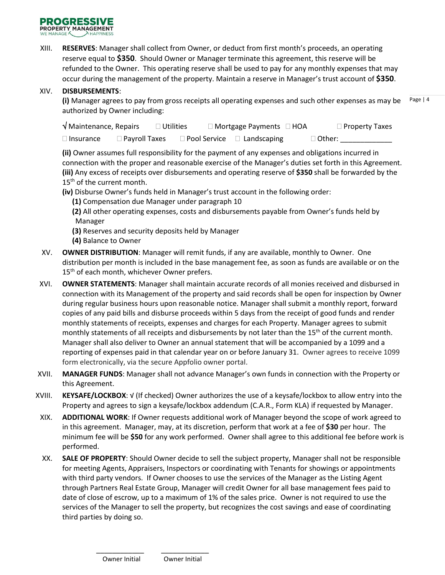

XIII. **RESERVES**: Manager shall collect from Owner, or deduct from first month's proceeds, an operating reserve equal to **\$350**. Should Owner or Manager terminate this agreement, this reserve will be refunded to the Owner. This operating reserve shall be used to pay for any monthly expenses that may occur during the management of the property. Maintain a reserve in Manager's trust account of **\$350**.

#### XIV. **DISBURSEMENTS**:

Page | 4 **(i)** Manager agrees to pay from gross receipts all operating expenses and such other expenses as may be authorized by Owner including:

| √ Maintenance, Repairs |                      | $\Box$ Utilities | $\Box$ Mortgage Payments $\Box$ HOA    | $\Box$ Property Taxes |
|------------------------|----------------------|------------------|----------------------------------------|-----------------------|
| $\Box$ Insurance       | $\Box$ Payroll Taxes |                  | $\Box$ Pool Service $\Box$ Landscaping | $\Box$ Other:         |

**(ii)** Owner assumes full responsibility for the payment of any expenses and obligations incurred in connection with the proper and reasonable exercise of the Manager's duties set forth in this Agreement. **(iii)** Any excess of receipts over disbursements and operating reserve of **\$350** shall be forwarded by the 15<sup>th</sup> of the current month.

**(iv)** Disburse Owner's funds held in Manager's trust account in the following order:

**(1)** Compensation due Manager under paragraph 10

**(2)** All other operating expenses, costs and disbursements payable from Owner's funds held by Manager

- **(3)** Reserves and security deposits held by Manager
- **(4)** Balance to Owner
- XV. **OWNER DISTRIBUTION**: Manager will remit funds, if any are available, monthly to Owner. One distribution per month is included in the base management fee, as soon as funds are available or on the 15<sup>th</sup> of each month, whichever Owner prefers.
- XVI. **OWNER STATEMENTS**: Manager shall maintain accurate records of all monies received and disbursed in connection with its Management of the property and said records shall be open for inspection by Owner during regular business hours upon reasonable notice. Manager shall submit a monthly report, forward copies of any paid bills and disburse proceeds within 5 days from the receipt of good funds and render monthly statements of receipts, expenses and charges for each Property. Manager agrees to submit monthly statements of all receipts and disbursements by not later than the  $15<sup>th</sup>$  of the current month. Manager shall also deliver to Owner an annual statement that will be accompanied by a 1099 and a reporting of expenses paid in that calendar year on or before January 31. Owner agrees to receive 1099 form electronically, via the secure Appfolio owner portal.
- XVII. **MANAGER FUNDS**: Manager shall not advance Manager's own funds in connection with the Property or this Agreement.
- XVIII. **KEYSAFE/LOCKBOX**: √ (If checked) Owner authorizes the use of a keysafe/lockbox to allow entry into the Property and agrees to sign a keysafe/lockbox addendum (C.A.R., Form KLA) if requested by Manager.
- XIX. **ADDITIONAL WORK**: If Owner requests additional work of Manager beyond the scope of work agreed to in this agreement. Manager, may, at its discretion, perform that work at a fee of **\$30** per hour. The minimum fee will be **\$50** for any work performed. Owner shall agree to this additional fee before work is performed.
- XX. **SALE OF PROPERTY**: Should Owner decide to sell the subject property, Manager shall not be responsible for meeting Agents, Appraisers, Inspectors or coordinating with Tenants for showings or appointments with third party vendors. If Owner chooses to use the services of the Manager as the Listing Agent through Partners Real Estate Group, Manager will credit Owner for all base management fees paid to date of close of escrow, up to a maximum of 1% of the sales price. Owner is not required to use the services of the Manager to sell the property, but recognizes the cost savings and ease of coordinating third parties by doing so.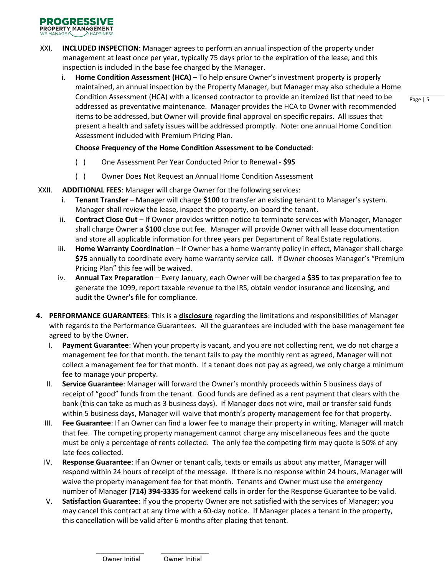

- XXI. **INCLUDED INSPECTION**: Manager agrees to perform an annual inspection of the property under management at least once per year, typically 75 days prior to the expiration of the lease, and this inspection is included in the base fee charged by the Manager.
	- i. **Home Condition Assessment (HCA)** To help ensure Owner's investment property is properly maintained, an annual inspection by the Property Manager, but Manager may also schedule a Home Condition Assessment (HCA) with a licensed contractor to provide an itemized list that need to be addressed as preventative maintenance. Manager provides the HCA to Owner with recommended items to be addressed, but Owner will provide final approval on specific repairs. All issues that present a health and safety issues will be addressed promptly. Note: one annual Home Condition Assessment included with Premium Pricing Plan.

## **Choose Frequency of the Home Condition Assessment to be Conducted**:

- ( ) One Assessment Per Year Conducted Prior to Renewal **\$95**
- ( ) Owner Does Not Request an Annual Home Condition Assessment
- XXII. **ADDITIONAL FEES**: Manager will charge Owner for the following services:
	- i. **Tenant Transfer** Manager will charge **\$100** to transfer an existing tenant to Manager's system. Manager shall review the lease, inspect the property, on-board the tenant.
	- ii. **Contract Close Out** If Owner provides written notice to terminate services with Manager, Manager shall charge Owner a **\$100** close out fee. Manager will provide Owner with all lease documentation and store all applicable information for three years per Department of Real Estate regulations.
	- iii. **Home Warranty Coordination** If Owner has a home warranty policy in effect, Manager shall charge **\$75** annually to coordinate every home warranty service call. If Owner chooses Manager's "Premium Pricing Plan" this fee will be waived.
	- iv. **Annual Tax Preparation** Every January, each Owner will be charged a **\$35** to tax preparation fee to generate the 1099, report taxable revenue to the IRS, obtain vendor insurance and licensing, and audit the Owner's file for compliance.
- **4. PERFORMANCE GUARANTEES**: This is a **disclosure** regarding the limitations and responsibilities of Manager with regards to the Performance Guarantees. All the guarantees are included with the base management fee agreed to by the Owner.
	- I. **Payment Guarantee**: When your property is vacant, and you are not collecting rent, we do not charge a management fee for that month. the tenant fails to pay the monthly rent as agreed, Manager will not collect a management fee for that month. If a tenant does not pay as agreed, we only charge a minimum fee to manage your property.
	- II. **Service Guarantee**: Manager will forward the Owner's monthly proceeds within 5 business days of receipt of "good" funds from the tenant. Good funds are defined as a rent payment that clears with the bank (this can take as much as 3 business days). If Manager does not wire, mail or transfer said funds within 5 business days, Manager will waive that month's property management fee for that property.
	- III. **Fee Guarantee**: If an Owner can find a lower fee to manage their property in writing, Manager will match that fee. The competing property management cannot charge any miscellaneous fees and the quote must be only a percentage of rents collected. The only fee the competing firm may quote is 50% of any late fees collected.
	- IV. **Response Guarantee**: If an Owner or tenant calls, texts or emails us about any matter, Manager will respond within 24 hours of receipt of the message. If there is no response within 24 hours, Manager will waive the property management fee for that month. Tenants and Owner must use the emergency number of Manager **(714) 394-3335** for weekend calls in order for the Response Guarantee to be valid.
	- V. **Satisfaction Guarantee**: If you the property Owner are not satisfied with the services of Manager; you may cancel this contract at any time with a 60-day notice. If Manager places a tenant in the property, this cancellation will be valid after 6 months after placing that tenant.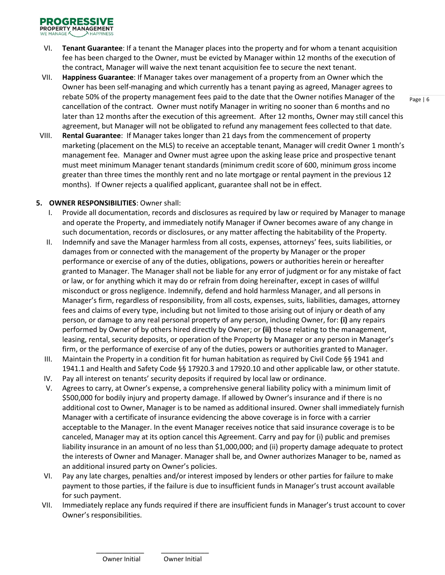- VI. **Tenant Guarantee**: If a tenant the Manager places into the property and for whom a tenant acquisition fee has been charged to the Owner, must be evicted by Manager within 12 months of the execution of the contract, Manager will waive the next tenant acquisition fee to secure the next tenant.
- VII. **Happiness Guarantee**: If Manager takes over management of a property from an Owner which the Owner has been self-managing and which currently has a tenant paying as agreed, Manager agrees to rebate 50% of the property management fees paid to the date that the Owner notifies Manager of the cancellation of the contract. Owner must notify Manager in writing no sooner than 6 months and no later than 12 months after the execution of this agreement. After 12 months, Owner may still cancel this agreement, but Manager will not be obligated to refund any management fees collected to that date.
- VIII. **Rental Guarantee**: If Manager takes longer than 21 days from the commencement of property marketing (placement on the MLS) to receive an acceptable tenant, Manager will credit Owner 1 month's management fee. Manager and Owner must agree upon the asking lease price and prospective tenant must meet minimum Manager tenant standards (minimum credit score of 600, minimum gross income greater than three times the monthly rent and no late mortgage or rental payment in the previous 12 months). If Owner rejects a qualified applicant, guarantee shall not be in effect.

#### **5. OWNER RESPONSIBILITIES**: Owner shall:

- I. Provide all documentation, records and disclosures as required by law or required by Manager to manage and operate the Property, and immediately notify Manager if Owner becomes aware of any change in such documentation, records or disclosures, or any matter affecting the habitability of the Property.
- II. Indemnify and save the Manager harmless from all costs, expenses, attorneys' fees, suits liabilities, or damages from or connected with the management of the property by Manager or the proper performance or exercise of any of the duties, obligations, powers or authorities herein or hereafter granted to Manager. The Manager shall not be liable for any error of judgment or for any mistake of fact or law, or for anything which it may do or refrain from doing hereinafter, except in cases of willful misconduct or gross negligence. Indemnify, defend and hold harmless Manager, and all persons in Manager's firm, regardless of responsibility, from all costs, expenses, suits, liabilities, damages, attorney fees and claims of every type, including but not limited to those arising out of injury or death of any person, or damage to any real personal property of any person, including Owner, for: **(i)** any repairs performed by Owner of by others hired directly by Owner; or **(ii)** those relating to the management, leasing, rental, security deposits, or operation of the Property by Manager or any person in Manager's firm, or the performance of exercise of any of the duties, powers or authorities granted to Manager.
- III. Maintain the Property in a condition fit for human habitation as required by Civil Code §§ 1941 and 1941.1 and Health and Safety Code §§ 17920.3 and 17920.10 and other applicable law, or other statute.
- IV. Pay all interest on tenants' security deposits if required by local law or ordinance.
- V. Agrees to carry, at Owner's expense, a comprehensive general liability policy with a minimum limit of \$500,000 for bodily injury and property damage. If allowed by Owner's insurance and if there is no additional cost to Owner, Manager is to be named as additional insured. Owner shall immediately furnish Manager with a certificate of insurance evidencing the above coverage is in force with a carrier acceptable to the Manager. In the event Manager receives notice that said insurance coverage is to be canceled, Manager may at its option cancel this Agreement. Carry and pay for (i) public and premises liability insurance in an amount of no less than \$1,000,000; and (ii) property damage adequate to protect the interests of Owner and Manager. Manager shall be, and Owner authorizes Manager to be, named as an additional insured party on Owner's policies.
- VI. Pay any late charges, penalties and/or interest imposed by lenders or other parties for failure to make payment to those parties, if the failure is due to insufficient funds in Manager's trust account available for such payment.
- VII. Immediately replace any funds required if there are insufficient funds in Manager's trust account to cover Owner's responsibilities.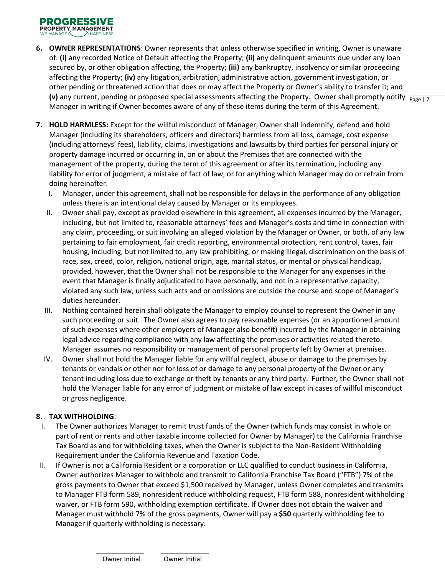- (v) any current, pending or proposed special assessments affecting the Property. Owner shall promptly notify  $\frac{}{_{Page~|7}}$ **6. OWNER REPRESENTATIONS**: Owner represents that unless otherwise specified in writing, Owner is unaware of: **(i)** any recorded Notice of Default affecting the Property; **(ii)** any delinquent amounts due under any loan secured by, or other obligation affecting, the Property; **(iii)** any bankruptcy, insolvency or similar proceeding affecting the Property; **(iv)** any litigation, arbitration, administrative action, government investigation, or other pending or threatened action that does or may affect the Property or Owner's ability to transfer it; and Manager in writing if Owner becomes aware of any of these items during the term of this Agreement.
- **7. HOLD HARMLESS:** Except for the willful misconduct of Manager, Owner shall indemnify, defend and hold Manager (including its shareholders, officers and directors) harmless from all loss, damage, cost expense (including attorneys' fees), liability, claims, investigations and lawsuits by third parties for personal injury or property damage incurred or occurring in, on or about the Premises that are connected with the management of the property, during the term of this agreement or after its termination, including any liability for error of judgment, a mistake of fact of law, or for anything which Manager may do or refrain from doing hereinafter.
	- I. Manager, under this agreement, shall not be responsible for delays in the performance of any obligation unless there is an intentional delay caused by Manager or its employees.
	- II. Owner shall pay, except as provided elsewhere in this agreement, all expenses incurred by the Manager, including, but not limited to, reasonable attorneys' fees and Manager's costs and time in connection with any claim, proceeding, or suit involving an alleged violation by the Manager or Owner, or both, of any law pertaining to fair employment, fair credit reporting, environmental protection, rent control, taxes, fair housing, including, but not limited to, any law prohibiting, or making illegal, discrimination on the basis of race, sex, creed, color, religion, national origin, age, marital status, or mental or physical handicap, provided, however, that the Owner shall not be responsible to the Manager for any expenses in the event that Manager is finally adjudicated to have personally, and not in a representative capacity, violated any such law, unless such acts and or omissions are outside the course and scope of Manager's duties hereunder.
	- III. Nothing contained herein shall obligate the Manager to employ counsel to represent the Owner in any such proceeding or suit. The Owner also agrees to pay reasonable expenses (or an apportioned amount of such expenses where other employers of Manager also benefit) incurred by the Manager in obtaining legal advice regarding compliance with any law affecting the premises or activities related thereto. Manager assumes no responsibility or management of personal property left by Owner at premises.
	- IV. Owner shall not hold the Manager liable for any willful neglect, abuse or damage to the premises by tenants or vandals or other nor for loss of or damage to any personal property of the Owner or any tenant including loss due to exchange or theft by tenants or any third party. Further, the Owner shall not hold the Manager liable for any error of judgment or mistake of law except in cases of willful misconduct or gross negligence.

# **8. TAX WITHHOLDING**:

- I. The Owner authorizes Manager to remit trust funds of the Owner (which funds may consist in whole or part of rent or rents and other taxable income collected for Owner by Manager) to the California Franchise Tax Board as and for withholding taxes, when the Owner is subject to the Non-Resident Withholding Requirement under the California Revenue and Taxation Code.
- II. If Owner is not a California Resident or a corporation or LLC qualified to conduct business in California, Owner authorizes Manager to withhold and transmit to California Franchise Tax Board ("FTB") 7% of the gross payments to Owner that exceed \$1,500 received by Manager, unless Owner completes and transmits to Manager FTB form 589, nonresident reduce withholding request, FTB form 588, nonresident withholding waiver, or FTB form 590, withholding exemption certificate. If Owner does not obtain the waiver and Manager must withhold 7% of the gross payments, Owner will pay a **\$50** quarterly withholding fee to Manager if quarterly withholding is necessary.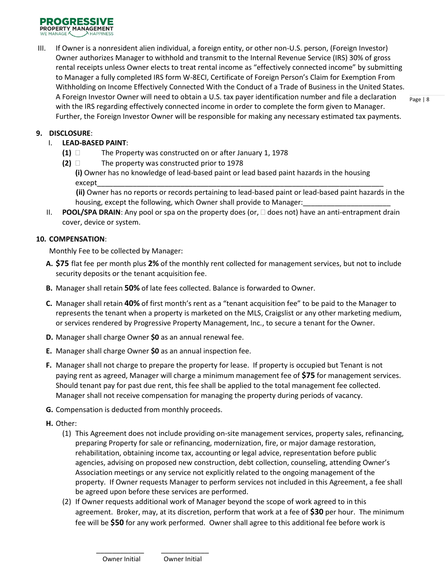

III. If Owner is a nonresident alien individual, a foreign entity, or other non-U.S. person, (Foreign Investor) Owner authorizes Manager to withhold and transmit to the Internal Revenue Service (IRS) 30% of gross rental receipts unless Owner elects to treat rental income as "effectively connected income" by submitting to Manager a fully completed IRS form W-8ECI, Certificate of Foreign Person's Claim for Exemption From Withholding on Income Effectively Connected With the Conduct of a Trade of Business in the United States. A Foreign Investor Owner will need to obtain a U.S. tax payer identification number and file a declaration with the IRS regarding effectively connected income in order to complete the form given to Manager. Further, the Foreign Investor Owner will be responsible for making any necessary estimated tax payments.

#### **9. DISCLOSURE**:

- I. **LEAD-BASED PAINT**:
	- **(1)** The Property was constructed on or after January 1, 1978
	- **(2)** The property was constructed prior to 1978 **(i)** Owner has no knowledge of lead-based paint or lead based paint hazards in the housing

except\_\_\_\_\_\_\_\_\_\_\_\_\_\_\_\_\_\_\_\_\_\_\_\_\_\_\_\_\_\_\_\_\_\_\_\_\_\_\_\_\_\_\_\_\_\_\_\_\_\_\_\_\_\_\_\_\_\_\_\_\_\_\_\_\_\_\_\_\_\_\_\_

 **(ii)** Owner has no reports or records pertaining to lead-based paint or lead-based paint hazards in the housing, except the following, which Owner shall provide to Manager:

II. **POOL/SPA DRAIN**: Any pool or spa on the property does (or,  $\Box$  does not) have an anti-entrapment drain cover, device or system.

#### **10. COMPENSATION**:

Monthly Fee to be collected by Manager:

- **A. \$75** flat fee per month plus **2%** of the monthly rent collected for management services, but not to include security deposits or the tenant acquisition fee.
- **B.** Manager shall retain **50%** of late fees collected. Balance is forwarded to Owner.
- **C.** Manager shall retain **40%** of first month's rent as a "tenant acquisition fee" to be paid to the Manager to represents the tenant when a property is marketed on the MLS, Craigslist or any other marketing medium, or services rendered by Progressive Property Management, Inc., to secure a tenant for the Owner.
- **D.** Manager shall charge Owner **\$0** as an annual renewal fee.
- **E.** Manager shall charge Owner **\$0** as an annual inspection fee.
- **F.** Manager shall not charge to prepare the property for lease. If property is occupied but Tenant is not paying rent as agreed, Manager will charge a minimum management fee of **\$75** for management services. Should tenant pay for past due rent, this fee shall be applied to the total management fee collected. Manager shall not receive compensation for managing the property during periods of vacancy.
- **G.** Compensation is deducted from monthly proceeds.
- **H.** Other:
	- (1) This Agreement does not include providing on-site management services, property sales, refinancing, preparing Property for sale or refinancing, modernization, fire, or major damage restoration, rehabilitation, obtaining income tax, accounting or legal advice, representation before public agencies, advising on proposed new construction, debt collection, counseling, attending Owner's Association meetings or any service not explicitly related to the ongoing management of the property. If Owner requests Manager to perform services not included in this Agreement, a fee shall be agreed upon before these services are performed.
	- (2) If Owner requests additional work of Manager beyond the scope of work agreed to in this agreement. Broker, may, at its discretion, perform that work at a fee of **\$30** per hour. The minimum fee will be **\$50** for any work performed. Owner shall agree to this additional fee before work is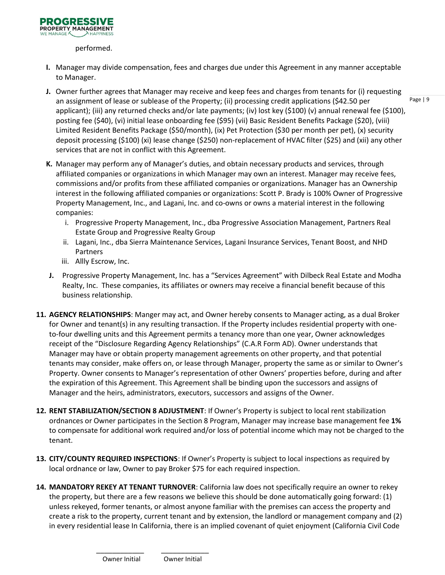

performed.

- **I.** Manager may divide compensation, fees and charges due under this Agreement in any manner acceptable to Manager.
- **J.** Owner further agrees that Manager may receive and keep fees and charges from tenants for (i) requesting an assignment of lease or sublease of the Property; (ii) processing credit applications (\$42.50 per applicant); (iii) any returned checks and/or late payments; (iv) lost key (\$100) (v) annual renewal fee (\$100), posting fee (\$40), (vi) initial lease onboarding fee (\$95) (vii) Basic Resident Benefits Package (\$20), (viii) Limited Resident Benefits Package (\$50/month), (ix) Pet Protection (\$30 per month per pet), (x) security deposit processing (\$100) (xi) lease change (\$250) non-replacement of HVAC filter (\$25) and (xii) any other services that are not in conflict with this Agreement.
- **K.** Manager may perform any of Manager's duties, and obtain necessary products and services, through affiliated companies or organizations in which Manager may own an interest. Manager may receive fees, commissions and/or profits from these affiliated companies or organizations. Manager has an Ownership interest in the following affiliated companies or organizations: Scott P. Brady is 100% Owner of Progressive Property Management, Inc., and Lagani, Inc. and co-owns or owns a material interest in the following companies:
	- i. Progressive Property Management, Inc., dba Progressive Association Management, Partners Real Estate Group and Progressive Realty Group
	- ii. Lagani, Inc., dba Sierra Maintenance Services, Lagani Insurance Services, Tenant Boost, and NHD Partners
	- iii. Allly Escrow, Inc.
- **J.** Progressive Property Management, Inc. has a "Services Agreement" with Dilbeck Real Estate and Modha Realty, Inc. These companies, its affiliates or owners may receive a financial benefit because of this business relationship.
- **11. AGENCY RELATIONSHIPS**: Manger may act, and Owner hereby consents to Manager acting, as a dual Broker for Owner and tenant(s) in any resulting transaction. If the Property includes residential property with oneto-four dwelling units and this Agreement permits a tenancy more than one year, Owner acknowledges receipt of the "Disclosure Regarding Agency Relationships" (C.A.R Form AD). Owner understands that Manager may have or obtain property management agreements on other property, and that potential tenants may consider, make offers on, or lease through Manager, property the same as or similar to Owner's Property. Owner consents to Manager's representation of other Owners' properties before, during and after the expiration of this Agreement. This Agreement shall be binding upon the successors and assigns of Manager and the heirs, administrators, executors, successors and assigns of the Owner.
- **12. RENT STABILIZATION/SECTION 8 ADJUSTMENT**: If Owner's Property is subject to local rent stabilization ordnances or Owner participates in the Section 8 Program, Manager may increase base management fee **1%** to compensate for additional work required and/or loss of potential income which may not be charged to the tenant.
- **13. CITY/COUNTY REQUIRED INSPECTIONS**: If Owner's Property is subject to local inspections as required by local ordnance or law, Owner to pay Broker \$75 for each required inspection.
- **14. MANDATORY REKEY AT TENANT TURNOVER**: California law does not specifically require an owner to rekey the property, but there are a few reasons we believe this should be done automatically going forward: (1) unless rekeyed, former tenants, or almost anyone familiar with the premises can access the property and create a risk to the property, current tenant and by extension, the landlord or management company and (2) in every residential lease In California, there is an implied covenant of quiet enjoyment (California Civil Code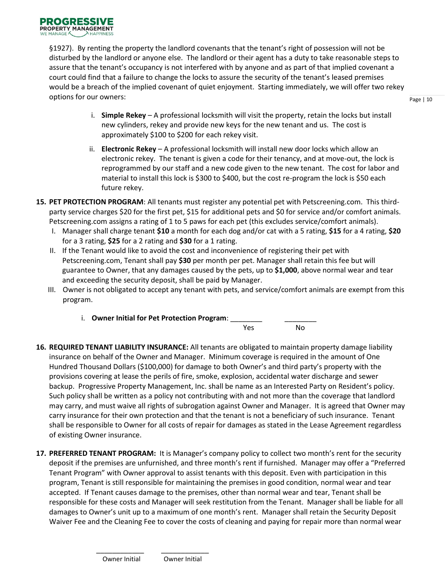§1927). By renting the property the landlord covenants that the tenant's right of possession will not be disturbed by the landlord or anyone else. The landlord or their agent has a duty to take reasonable steps to assure that the tenant's occupancy is not interfered with by anyone and as part of that implied covenant a court could find that a failure to change the locks to assure the security of the tenant's leased premises would be a breach of the implied covenant of quiet enjoyment. Starting immediately, we will offer two rekey options for our owners:

- i. **Simple Rekey** A professional locksmith will visit the property, retain the locks but install new cylinders, rekey and provide new keys for the new tenant and us. The cost is approximately \$100 to \$200 for each rekey visit.
- ii. **Electronic Rekey** A professional locksmith will install new door locks which allow an electronic rekey. The tenant is given a code for their tenancy, and at move-out, the lock is reprogrammed by our staff and a new code given to the new tenant. The cost for labor and material to install this lock is \$300 to \$400, but the cost re-program the lock is \$50 each future rekey.
- **15. PET PROTECTION PROGRAM**: All tenants must register any potential pet with Petscreening.com. This thirdparty service charges \$20 for the first pet, \$15 for additional pets and \$0 for service and/or comfort animals. Petscreening.com assigns a rating of 1 to 5 paws for each pet (this excludes service/comfort animals).
	- I. Manager shall charge tenant **\$10** a month for each dog and/or cat with a 5 rating, **\$15** for a 4 rating, **\$20** for a 3 rating, **\$25** for a 2 rating and **\$30** for a 1 rating.
	- II. If the Tenant would like to avoid the cost and inconvenience of registering their pet with Petscreening.com, Tenant shall pay **\$30** per month per pet. Manager shall retain this fee but will guarantee to Owner, that any damages caused by the pets, up to **\$1,000**, above normal wear and tear and exceeding the security deposit, shall be paid by Manager.
	- III. Owner is not obligated to accept any tenant with pets, and service/comfort animals are exempt from this program.
		- i. **Owner Initial for Pet Protection Program**: \_\_\_\_\_\_\_\_ \_\_\_\_\_\_\_\_



- **16. REQUIRED TENANT LIABILITY INSURANCE:** All tenants are obligated to maintain property damage liability insurance on behalf of the Owner and Manager. Minimum coverage is required in the amount of One Hundred Thousand Dollars (\$100,000) for damage to both Owner's and third party's property with the provisions covering at lease the perils of fire, smoke, explosion, accidental water discharge and sewer backup. Progressive Property Management, Inc. shall be name as an Interested Party on Resident's policy. Such policy shall be written as a policy not contributing with and not more than the coverage that landlord may carry, and must waive all rights of subrogation against Owner and Manager. It is agreed that Owner may carry insurance for their own protection and that the tenant is not a beneficiary of such insurance. Tenant shall be responsible to Owner for all costs of repair for damages as stated in the Lease Agreement regardless of existing Owner insurance.
- **17. PREFERRED TENANT PROGRAM:** It is Manager's company policy to collect two month's rent for the security deposit if the premises are unfurnished, and three month's rent if furnished. Manager may offer a "Preferred Tenant Program" with Owner approval to assist tenants with this deposit. Even with participation in this program, Tenant is still responsible for maintaining the premises in good condition, normal wear and tear accepted. If Tenant causes damage to the premises, other than normal wear and tear, Tenant shall be responsible for these costs and Manager will seek restitution from the Tenant. Manager shall be liable for all damages to Owner's unit up to a maximum of one month's rent. Manager shall retain the Security Deposit Waiver Fee and the Cleaning Fee to cover the costs of cleaning and paying for repair more than normal wear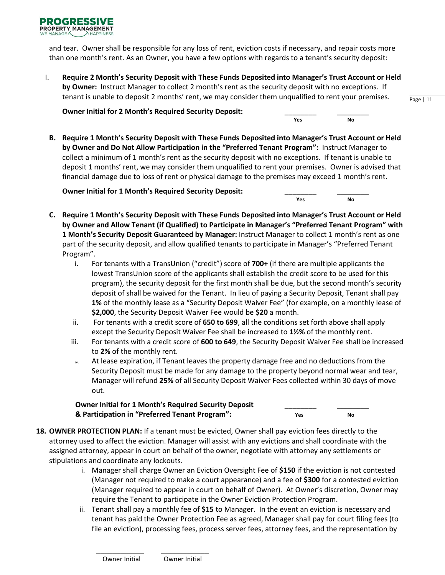

and tear. Owner shall be responsible for any loss of rent, eviction costs if necessary, and repair costs more than one month's rent. As an Owner, you have a few options with regards to a tenant's security deposit:

I. **Require 2 Month's Security Deposit with These Funds Deposited into Manager's Trust Account or Held by Owner:** Instruct Manager to collect 2 month's rent as the security deposit with no exceptions. If tenant is unable to deposit 2 months' rent, we may consider them unqualified to rent your premises.

*Manufacture Manufacture Manufacture Manufacture Manufacture Manufacture Manufacture Manufacture Manufacture Manufacture Manufacture Manufacture Manufacture Manufacture Manufacture Manufacture Manufacture Manufacture Manu* 

**Owner Initial for 2 Month's Required Security Deposit:** \_\_\_\_\_\_\_\_ \_\_\_\_\_\_\_\_

**B. Require 1 Month's Security Deposit with These Funds Deposited into Manager's Trust Account or Held by Owner and Do Not Allow Participation in the "Preferred Tenant Program":** Instruct Manager to collect a minimum of 1 month's rent as the security deposit with no exceptions. If tenant is unable to deposit 1 months' rent, we may consider them unqualified to rent your premises. Owner is advised that financial damage due to loss of rent or physical damage to the premises may exceed 1 month's rent.

**Owner Initial for 1 Month's Required Security Deposit:** \_\_\_\_\_\_\_\_ \_\_\_\_\_\_\_\_

**C. Require 1 Month's Security Deposit with These Funds Deposited into Manager's Trust Account or Held by Owner and Allow Tenant (if Qualified) to Participate in Manager's "Preferred Tenant Program" with 1 Month's Security Deposit Guaranteed by Manager:** Instruct Manager to collect 1 month's rent as one part of the security deposit, and allow qualified tenants to participate in Manager's "Preferred Tenant Program".

**Particularly, the Monetage Construction of the Vesting Construction of Vesting Construction (Vesting Construction of Vesting Construction of Vesting Construction (Vesting Construction of Vesting Construction of Vesting Co** 

- i. For tenants with a TransUnion ("credit") score of **700+** (if there are multiple applicants the lowest TransUnion score of the applicants shall establish the credit score to be used for this program), the security deposit for the first month shall be due, but the second month's security deposit of shall be waived for the Tenant. In lieu of paying a Security Deposit, Tenant shall pay **1%** of the monthly lease as a "Security Deposit Waiver Fee" (for example, on a monthly lease of **\$2,000**, the Security Deposit Waiver Fee would be **\$20** a month.
- ii. For tenants with a credit score of **650 to 699**, all the conditions set forth above shall apply except the Security Deposit Waiver Fee shall be increased to **1½%** of the monthly rent.
- iii. For tenants with a credit score of **600 to 649**, the Security Deposit Waiver Fee shall be increased to **2%** of the monthly rent.
- At lease expiration, if Tenant leaves the property damage free and no deductions from the Security Deposit must be made for any damage to the property beyond normal wear and tear, Manager will refund **25%** of all Security Deposit Waiver Fees collected within 30 days of move out.

# **Owner Initial for 1 Month's Required Security Deposit** \_\_\_\_\_\_\_\_ \_\_\_\_\_\_\_\_  **& Participation in "Preferred Tenant Program": Yes No**

- 
- **18. OWNER PROTECTION PLAN:** If a tenant must be evicted, Owner shall pay eviction fees directly to the attorney used to affect the eviction. Manager will assist with any evictions and shall coordinate with the assigned attorney, appear in court on behalf of the owner, negotiate with attorney any settlements or stipulations and coordinate any lockouts.
	- i. Manager shall charge Owner an Eviction Oversight Fee of **\$150** if the eviction is not contested (Manager not required to make a court appearance) and a fee of **\$300** for a contested eviction (Manager required to appear in court on behalf of Owner). At Owner's discretion, Owner may require the Tenant to participate in the Owner Eviction Protection Program.
	- ii. Tenant shall pay a monthly fee of **\$15** to Manager. In the event an eviction is necessary and tenant has paid the Owner Protection Fee as agreed, Manager shall pay for court filing fees (to file an eviction), processing fees, process server fees, attorney fees, and the representation by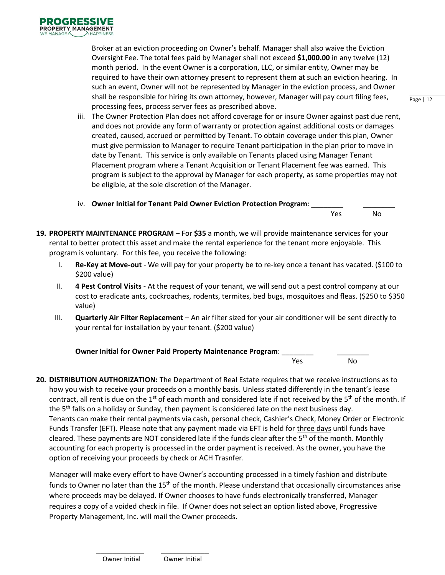Broker at an eviction proceeding on Owner's behalf. Manager shall also waive the Eviction Oversight Fee. The total fees paid by Manager shall not exceed **\$1,000.00** in any twelve (12) month period. In the event Owner is a corporation, LLC, or similar entity, Owner may be required to have their own attorney present to represent them at such an eviction hearing. In such an event, Owner will not be represented by Manager in the eviction process, and Owner shall be responsible for hiring its own attorney, however, Manager will pay court filing fees, processing fees, process server fees as prescribed above.

- iii. The Owner Protection Plan does not afford coverage for or insure Owner against past due rent, and does not provide any form of warranty or protection against additional costs or damages created, caused, accrued or permitted by Tenant. To obtain coverage under this plan, Owner must give permission to Manager to require Tenant participation in the plan prior to move in date by Tenant. This service is only available on Tenants placed using Manager Tenant Placement program where a Tenant Acquisition or Tenant Placement fee was earned. This program is subject to the approval by Manager for each property, as some properties may not be eligible, at the sole discretion of the Manager.
- iv. Owner Initial for Tenant Paid Owner Eviction Protection Program:

Yes No

- **19. PROPERTY MAINTENANCE PROGRAM** For **\$35** a month, we will provide maintenance services for your rental to better protect this asset and make the rental experience for the tenant more enjoyable. This program is voluntary. For this fee, you receive the following:
	- I. **Re-Key at Move-out** We will pay for your property be to re-key once a tenant has vacated. (\$100 to \$200 value)
	- II. **4 Pest Control Visits** At the request of your tenant, we will send out a pest control company at our cost to eradicate ants, cockroaches, rodents, termites, bed bugs, mosquitoes and fleas. (\$250 to \$350 value)
	- III. **Quarterly Air Filter Replacement** An air filter sized for your air conditioner will be sent directly to your rental for installation by your tenant. (\$200 value)

| <b>Owner Initial for Owner Paid Property Maintenance Program:</b> |            |    |  |  |  |  |  |
|-------------------------------------------------------------------|------------|----|--|--|--|--|--|
|                                                                   | <b>Yes</b> | N٥ |  |  |  |  |  |

**20. DISTRIBUTION AUTHORIZATION:** The Department of Real Estate requires that we receive instructions as to how you wish to receive your proceeds on a monthly basis. Unless stated differently in the tenant's lease contract, all rent is due on the  $1<sup>st</sup>$  of each month and considered late if not received by the  $5<sup>th</sup>$  of the month. If the 5<sup>th</sup> falls on a holiday or Sunday, then payment is considered late on the next business day. Tenants can make their rental payments via cash, personal check, Cashier's Check, Money Order or Electronic Funds Transfer (EFT). Please note that any payment made via EFT is held for three days until funds have cleared. These payments are NOT considered late if the funds clear after the  $5<sup>th</sup>$  of the month. Monthly accounting for each property is processed in the order payment is received. As the owner, you have the option of receiving your proceeds by check or ACH Trasnfer.

Manager will make every effort to have Owner's accounting processed in a timely fashion and distribute funds to Owner no later than the  $15<sup>th</sup>$  of the month. Please understand that occasionally circumstances arise where proceeds may be delayed. If Owner chooses to have funds electronically transferred, Manager requires a copy of a voided check in file. If Owner does not select an option listed above, Progressive Property Management, Inc. will mail the Owner proceeds.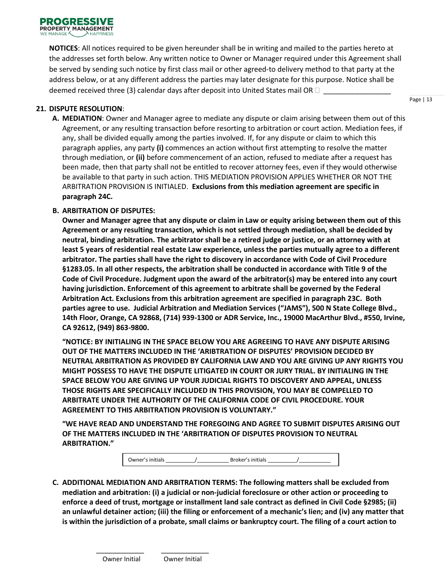

**NOTICES**: All notices required to be given hereunder shall be in writing and mailed to the parties hereto at the addresses set forth below. Any written notice to Owner or Manager required under this Agreement shall be served by sending such notice by first class mail or other agreed-to delivery method to that party at the address below, or at any different address the parties may later designate for this purpose. Notice shall be deemed received three (3) calendar days after deposit into United States mail OR  $\Box$ 

#### **21. DISPUTE RESOLUTION**:

**A. MEDIATION**: Owner and Manager agree to mediate any dispute or claim arising between them out of this Agreement, or any resulting transaction before resorting to arbitration or court action. Mediation fees, if any, shall be divided equally among the parties involved. If, for any dispute or claim to which this paragraph applies, any party **(i)** commences an action without first attempting to resolve the matter through mediation, or **(ii)** before commencement of an action, refused to mediate after a request has been made, then that party shall not be entitled to recover attorney fees, even if they would otherwise be available to that party in such action. THIS MEDIATION PROVISION APPLIES WHETHER OR NOT THE ARBITRATION PROVISION IS INITIALED. **Exclusions from this mediation agreement are specific in paragraph 24C.**

#### **B. ARBITRATION OF DISPUTES:**

**Owner and Manager agree that any dispute or claim in Law or equity arising between them out of this Agreement or any resulting transaction, which is not settled through mediation, shall be decided by neutral, binding arbitration. The arbitrator shall be a retired judge or justice, or an attorney with at least 5 years of residential real estate Law experience, unless the parties mutually agree to a different arbitrator. The parties shall have the right to discovery in accordance with Code of Civil Procedure §1283.05. In all other respects, the arbitration shall be conducted in accordance with Title 9 of the Code of Civil Procedure. Judgment upon the award of the arbitrator(s) may be entered into any court having jurisdiction. Enforcement of this agreement to arbitrate shall be governed by the Federal Arbitration Act. Exclusions from this arbitration agreement are specified in paragraph 23C. Both parties agree to use. Judicial Arbitration and Mediation Services ("JAMS"), 500 N State College Blvd., 14th Floor, Orange, CA 92868, (714) 939-1300 or ADR Service, Inc., 19000 MacArthur Blvd., #550, Irvine, CA 92612, (949) 863-9800.**

**"NOTICE: BY INITIALING IN THE SPACE BELOW YOU ARE AGREEING TO HAVE ANY DISPUTE ARISING OUT OF THE MATTERS INCLUDED IN THE 'ARIBTRATION OF DISPUTES' PROVISION DECIDED BY NEUTRAL ARBITRATION AS PROVIDED BY CALIFORNIA LAW AND YOU ARE GIVING UP ANY RIGHTS YOU MIGHT POSSESS TO HAVE THE DISPUTE LITIGATED IN COURT OR JURY TRIAL. BY INITIALING IN THE SPACE BELOW YOU ARE GIVING UP YOUR JUDICIAL RIGHTS TO DISCOVERY AND APPEAL, UNLESS THOSE RIGHTS ARE SPECIFICALLY INCLUDED IN THIS PROVISION, YOU MAY BE COMPELLED TO ARBITRATE UNDER THE AUTHORITY OF THE CALIFORNIA CODE OF CIVIL PROCEDURE. YOUR AGREEMENT TO THIS ARBITRATION PROVISION IS VOLUNTARY."**

 **"WE HAVE READ AND UNDERSTAND THE FOREGOING AND AGREE TO SUBMIT DISPUTES ARISING OUT OF THE MATTERS INCLUDED IN THE 'ARBITRATION OF DISPUTES PROVISION TO NEUTRAL ARBITRATION."**

Owner's initials  $\qquad \qquad / \qquad \qquad$  Broker's initials

**C. ADDITIONAL MEDIATION AND ARBITRATION TERMS: The following matters shall be excluded from mediation and arbitration: (i) a judicial or non-judicial foreclosure or other action or proceeding to enforce a deed of trust, mortgage or installment land sale contract as defined in Civil Code §2985; (ii) an unlawful detainer action; (iii) the filing or enforcement of a mechanic's lien; and (iv) any matter that is within the jurisdiction of a probate, small claims or bankruptcy court. The filing of a court action to**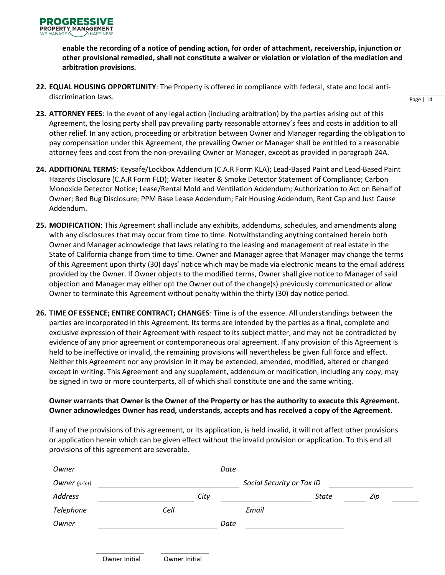**enable the recording of a notice of pending action, for order of attachment, receivership, injunction or other provisional remedied, shall not constitute a waiver or violation or violation of the mediation and arbitration provisions.** 

**22. EQUAL HOUSING OPPORTUNITY**: The Property is offered in compliance with federal, state and local antidiscrimination laws.

Page | 14

- **23. ATTORNEY FEES**: In the event of any legal action (including arbitration) by the parties arising out of this Agreement, the losing party shall pay prevailing party reasonable attorney's fees and costs in addition to all other relief. In any action, proceeding or arbitration between Owner and Manager regarding the obligation to pay compensation under this Agreement, the prevailing Owner or Manager shall be entitled to a reasonable attorney fees and cost from the non-prevailing Owner or Manager, except as provided in paragraph 24A.
- **24. ADDITIONAL TERMS**: Keysafe/Lockbox Addendum (C.A.R Form KLA); Lead-Based Paint and Lead-Based Paint Hazards Disclosure (C.A.R Form FLD); Water Heater & Smoke Detector Statement of Compliance; Carbon Monoxide Detector Notice; Lease/Rental Mold and Ventilation Addendum; Authorization to Act on Behalf of Owner; Bed Bug Disclosure; PPM Base Lease Addendum; Fair Housing Addendum, Rent Cap and Just Cause Addendum.
- **25. MODIFICATION**: This Agreement shall include any exhibits, addendums, schedules, and amendments along with any disclosures that may occur from time to time. Notwithstanding anything contained herein both Owner and Manager acknowledge that laws relating to the leasing and management of real estate in the State of California change from time to time. Owner and Manager agree that Manager may change the terms of this Agreement upon thirty (30) days' notice which may be made via electronic means to the email address provided by the Owner. If Owner objects to the modified terms, Owner shall give notice to Manager of said objection and Manager may either opt the Owner out of the change(s) previously communicated or allow Owner to terminate this Agreement without penalty within the thirty (30) day notice period.
- **26. TIME OF ESSENCE; ENTIRE CONTRACT; CHANGES**: Time is of the essence. All understandings between the parties are incorporated in this Agreement. Its terms are intended by the parties as a final, complete and exclusive expression of their Agreement with respect to its subject matter, and may not be contradicted by evidence of any prior agreement or contemporaneous oral agreement. If any provision of this Agreement is held to be ineffective or invalid, the remaining provisions will nevertheless be given full force and effect. Neither this Agreement nor any provision in it may be extended, amended, modified, altered or changed except in writing. This Agreement and any supplement, addendum or modification, including any copy, may be signed in two or more counterparts, all of which shall constitute one and the same writing.

## **Owner warrants that Owner is the Owner of the Property or has the authority to execute this Agreement. Owner acknowledges Owner has read, understands, accepts and has received a copy of the Agreement.**

If any of the provisions of this agreement, or its application, is held invalid, it will not affect other provisions or application herein which can be given effect without the invalid provision or application. To this end all provisions of this agreement are severable.

| Owner         |      | Date |                           |       |     |  |
|---------------|------|------|---------------------------|-------|-----|--|
| Owner (print) |      |      | Social Security or Tax ID |       |     |  |
| Address       |      | City |                           | State | Zip |  |
| Telephone     | Cell |      | Email                     |       |     |  |
| Owner         |      | Date |                           |       |     |  |
|               |      |      |                           |       |     |  |
|               |      |      |                           |       |     |  |

Owner Initial Owner Initial